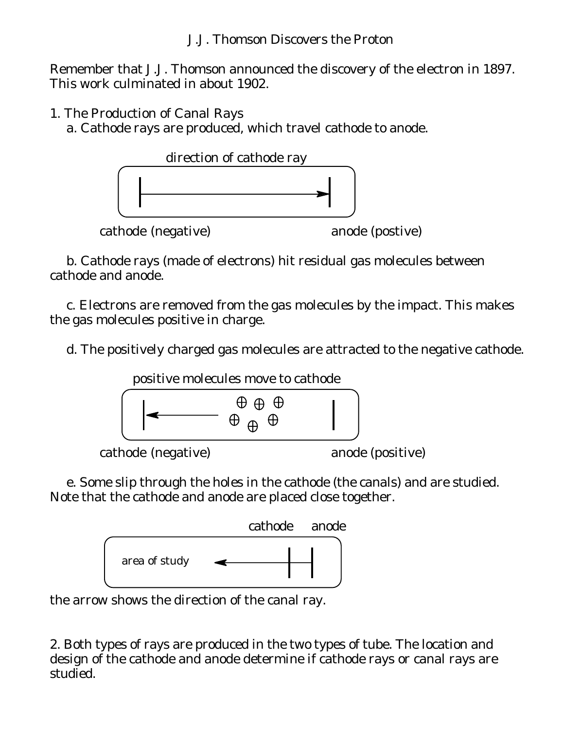Remember that J.J. Thomson announced the discovery of the electron in 1897. This work culminated in about 1902.

1. The Production of Canal Rays

a. Cathode rays are produced, which travel cathode to anode.



b. Cathode rays (made of electrons) hit residual gas molecules between cathode and anode.

c. Electrons are removed from the gas molecules by the impact. This makes the gas molecules positive in charge.

d. The positively charged gas molecules are attracted to the negative cathode.



e. Some slip through the holes in the cathode (the canals) and are studied. Note that the cathode and anode are placed close together.



the arrow shows the direction of the canal ray.

2. Both types of rays are produced in the two types of tube. The location and design of the cathode and anode determine if cathode rays or canal rays are studied.